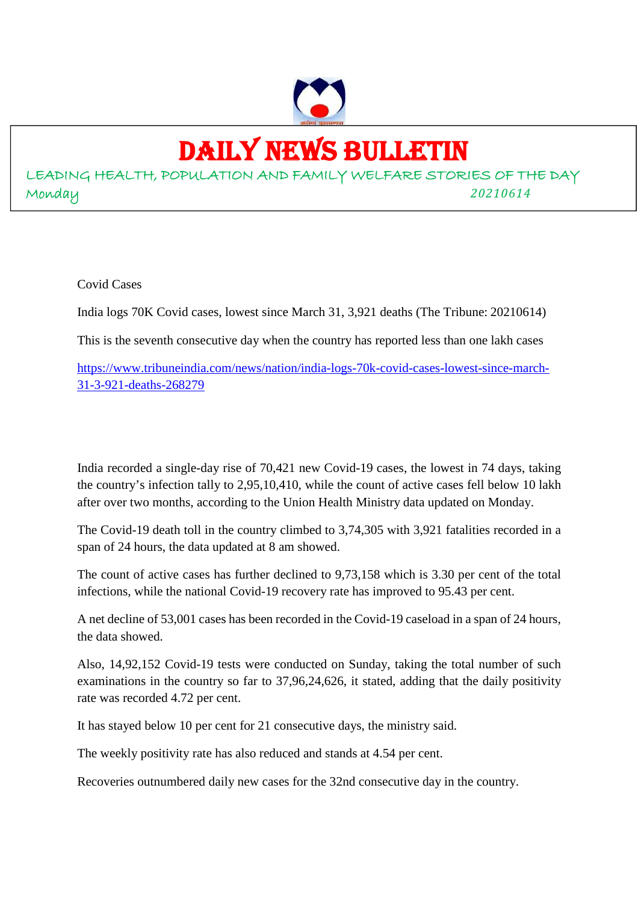

## DAILY NEWS BULLETIN

LEADING HEALTH, POPULATION AND FAMILY WELFARE STORIES OF THE DAY Monday *20210614*

Covid Cases

India logs 70K Covid cases, lowest since March 31, 3,921 deaths (The Tribune: 20210614)

This is the seventh consecutive day when the country has reported less than one lakh cases

https://www.tribuneindia.com/news/nation/india-logs-70k-covid-cases-lowest-since-march-31-3-921-deaths-268279

India recorded a single-day rise of 70,421 new Covid-19 cases, the lowest in 74 days, taking the country's infection tally to 2,95,10,410, while the count of active cases fell below 10 lakh after over two months, according to the Union Health Ministry data updated on Monday.

The Covid-19 death toll in the country climbed to 3,74,305 with 3,921 fatalities recorded in a span of 24 hours, the data updated at 8 am showed.

The count of active cases has further declined to 9,73,158 which is 3.30 per cent of the total infections, while the national Covid-19 recovery rate has improved to 95.43 per cent.

A net decline of 53,001 cases has been recorded in the Covid-19 caseload in a span of 24 hours, the data showed.

Also, 14,92,152 Covid-19 tests were conducted on Sunday, taking the total number of such examinations in the country so far to 37,96,24,626, it stated, adding that the daily positivity rate was recorded 4.72 per cent.

It has stayed below 10 per cent for 21 consecutive days, the ministry said.

The weekly positivity rate has also reduced and stands at 4.54 per cent.

Recoveries outnumbered daily new cases for the 32nd consecutive day in the country.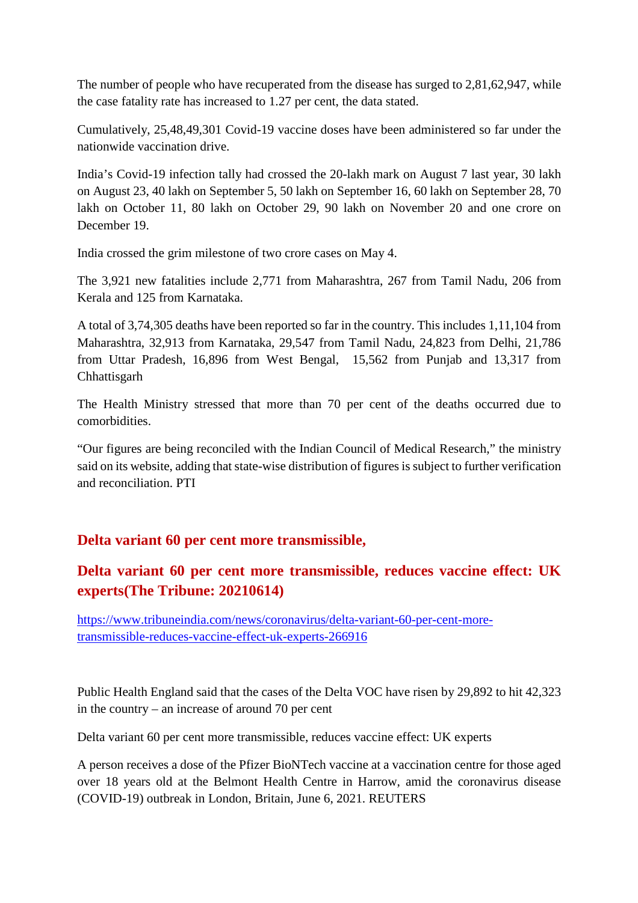The number of people who have recuperated from the disease has surged to 2,81,62,947, while the case fatality rate has increased to 1.27 per cent, the data stated.

Cumulatively, 25,48,49,301 Covid-19 vaccine doses have been administered so far under the nationwide vaccination drive.

India's Covid-19 infection tally had crossed the 20-lakh mark on August 7 last year, 30 lakh on August 23, 40 lakh on September 5, 50 lakh on September 16, 60 lakh on September 28, 70 lakh on October 11, 80 lakh on October 29, 90 lakh on November 20 and one crore on December 19.

India crossed the grim milestone of two crore cases on May 4.

The 3,921 new fatalities include 2,771 from Maharashtra, 267 from Tamil Nadu, 206 from Kerala and 125 from Karnataka.

A total of 3,74,305 deaths have been reported so far in the country. This includes 1,11,104 from Maharashtra, 32,913 from Karnataka, 29,547 from Tamil Nadu, 24,823 from Delhi, 21,786 from Uttar Pradesh, 16,896 from West Bengal, 15,562 from Punjab and 13,317 from **Chhattisgarh** 

The Health Ministry stressed that more than 70 per cent of the deaths occurred due to comorbidities.

"Our figures are being reconciled with the Indian Council of Medical Research," the ministry said on its website, adding that state-wise distribution of figures is subject to further verification and reconciliation. PTI

#### **Delta variant 60 per cent more transmissible,**

#### **Delta variant 60 per cent more transmissible, reduces vaccine effect: UK experts(The Tribune: 20210614)**

https://www.tribuneindia.com/news/coronavirus/delta-variant-60-per-cent-moretransmissible-reduces-vaccine-effect-uk-experts-266916

Public Health England said that the cases of the Delta VOC have risen by 29,892 to hit 42,323 in the country – an increase of around 70 per cent

Delta variant 60 per cent more transmissible, reduces vaccine effect: UK experts

A person receives a dose of the Pfizer BioNTech vaccine at a vaccination centre for those aged over 18 years old at the Belmont Health Centre in Harrow, amid the coronavirus disease (COVID-19) outbreak in London, Britain, June 6, 2021. REUTERS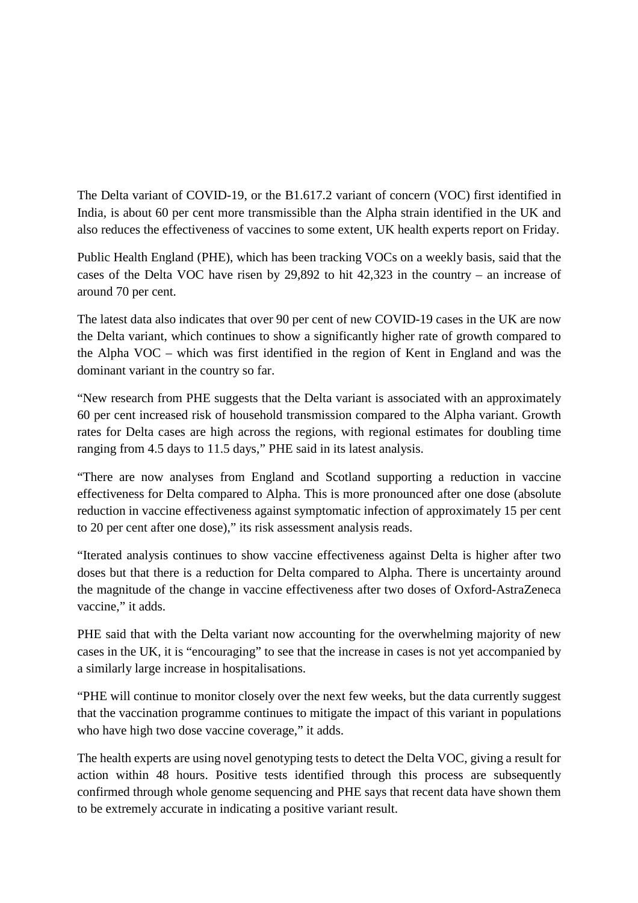The Delta variant of COVID-19, or the B1.617.2 variant of concern (VOC) first identified in India, is about 60 per cent more transmissible than the Alpha strain identified in the UK and also reduces the effectiveness of vaccines to some extent, UK health experts report on Friday.

Public Health England (PHE), which has been tracking VOCs on a weekly basis, said that the cases of the Delta VOC have risen by 29,892 to hit 42,323 in the country – an increase of around 70 per cent.

The latest data also indicates that over 90 per cent of new COVID-19 cases in the UK are now the Delta variant, which continues to show a significantly higher rate of growth compared to the Alpha VOC – which was first identified in the region of Kent in England and was the dominant variant in the country so far.

"New research from PHE suggests that the Delta variant is associated with an approximately 60 per cent increased risk of household transmission compared to the Alpha variant. Growth rates for Delta cases are high across the regions, with regional estimates for doubling time ranging from 4.5 days to 11.5 days," PHE said in its latest analysis.

"There are now analyses from England and Scotland supporting a reduction in vaccine effectiveness for Delta compared to Alpha. This is more pronounced after one dose (absolute reduction in vaccine effectiveness against symptomatic infection of approximately 15 per cent to 20 per cent after one dose)," its risk assessment analysis reads.

"Iterated analysis continues to show vaccine effectiveness against Delta is higher after two doses but that there is a reduction for Delta compared to Alpha. There is uncertainty around the magnitude of the change in vaccine effectiveness after two doses of Oxford-AstraZeneca vaccine," it adds.

PHE said that with the Delta variant now accounting for the overwhelming majority of new cases in the UK, it is "encouraging" to see that the increase in cases is not yet accompanied by a similarly large increase in hospitalisations.

"PHE will continue to monitor closely over the next few weeks, but the data currently suggest that the vaccination programme continues to mitigate the impact of this variant in populations who have high two dose vaccine coverage," it adds.

The health experts are using novel genotyping tests to detect the Delta VOC, giving a result for action within 48 hours. Positive tests identified through this process are subsequently confirmed through whole genome sequencing and PHE says that recent data have shown them to be extremely accurate in indicating a positive variant result.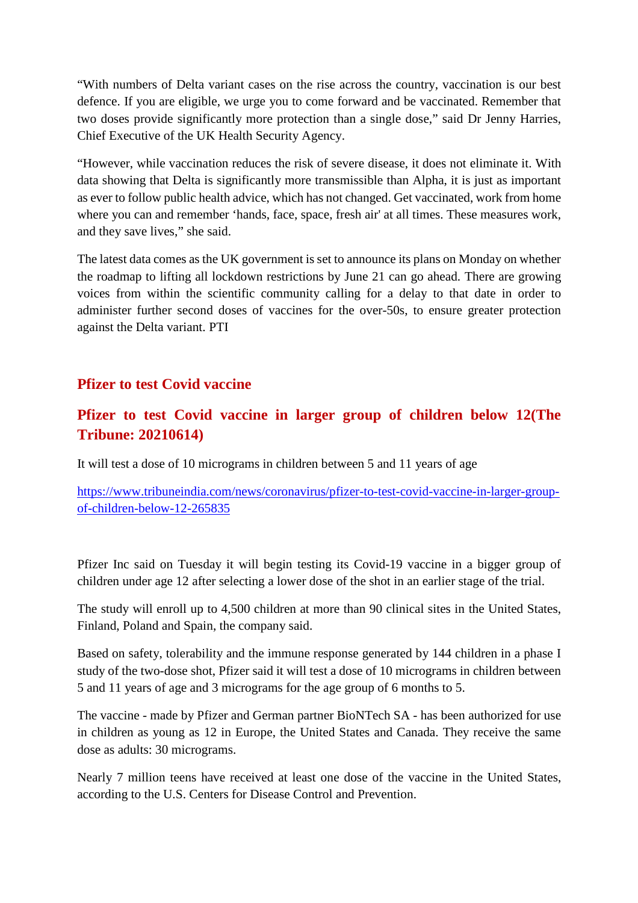"With numbers of Delta variant cases on the rise across the country, vaccination is our best defence. If you are eligible, we urge you to come forward and be vaccinated. Remember that two doses provide significantly more protection than a single dose," said Dr Jenny Harries, Chief Executive of the UK Health Security Agency.

"However, while vaccination reduces the risk of severe disease, it does not eliminate it. With data showing that Delta is significantly more transmissible than Alpha, it is just as important as ever to follow public health advice, which has not changed. Get vaccinated, work from home where you can and remember 'hands, face, space, fresh air' at all times. These measures work, and they save lives," she said.

The latest data comes as the UK government is set to announce its plans on Monday on whether the roadmap to lifting all lockdown restrictions by June 21 can go ahead. There are growing voices from within the scientific community calling for a delay to that date in order to administer further second doses of vaccines for the over-50s, to ensure greater protection against the Delta variant. PTI

#### **Pfizer to test Covid vaccine**

#### **Pfizer to test Covid vaccine in larger group of children below 12(The Tribune: 20210614)**

It will test a dose of 10 micrograms in children between 5 and 11 years of age

https://www.tribuneindia.com/news/coronavirus/pfizer-to-test-covid-vaccine-in-larger-groupof-children-below-12-265835

Pfizer Inc said on Tuesday it will begin testing its Covid-19 vaccine in a bigger group of children under age 12 after selecting a lower dose of the shot in an earlier stage of the trial.

The study will enroll up to 4,500 children at more than 90 clinical sites in the United States, Finland, Poland and Spain, the company said.

Based on safety, tolerability and the immune response generated by 144 children in a phase I study of the two-dose shot, Pfizer said it will test a dose of 10 micrograms in children between 5 and 11 years of age and 3 micrograms for the age group of 6 months to 5.

The vaccine - made by Pfizer and German partner BioNTech SA - has been authorized for use in children as young as 12 in Europe, the United States and Canada. They receive the same dose as adults: 30 micrograms.

Nearly 7 million teens have received at least one dose of the vaccine in the United States, according to the U.S. Centers for Disease Control and Prevention.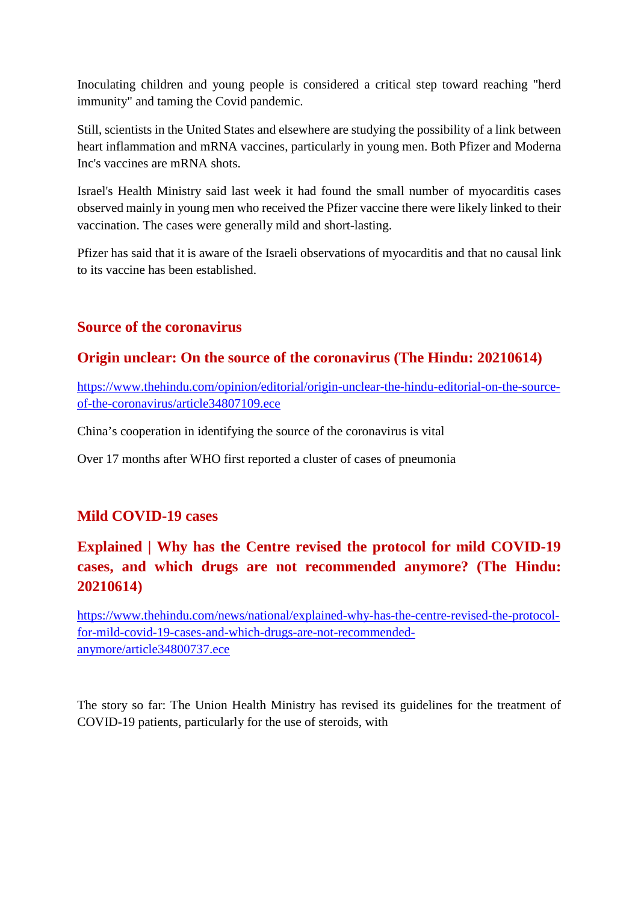Inoculating children and young people is considered a critical step toward reaching "herd immunity" and taming the Covid pandemic.

Still, scientists in the United States and elsewhere are studying the possibility of a link between heart inflammation and mRNA vaccines, particularly in young men. Both Pfizer and Moderna Inc's vaccines are mRNA shots.

Israel's Health Ministry said last week it had found the small number of myocarditis cases observed mainly in young men who received the Pfizer vaccine there were likely linked to their vaccination. The cases were generally mild and short-lasting.

Pfizer has said that it is aware of the Israeli observations of myocarditis and that no causal link to its vaccine has been established.

#### **Source of the coronavirus**

#### **Origin unclear: On the source of the coronavirus (The Hindu: 20210614)**

https://www.thehindu.com/opinion/editorial/origin-unclear-the-hindu-editorial-on-the-sourceof-the-coronavirus/article34807109.ece

China's cooperation in identifying the source of the coronavirus is vital

Over 17 months after WHO first reported a cluster of cases of pneumonia

#### **Mild COVID-19 cases**

#### **Explained | Why has the Centre revised the protocol for mild COVID-19 cases, and which drugs are not recommended anymore? (The Hindu: 20210614)**

https://www.thehindu.com/news/national/explained-why-has-the-centre-revised-the-protocolfor-mild-covid-19-cases-and-which-drugs-are-not-recommendedanymore/article34800737.ece

The story so far: The Union Health Ministry has revised its guidelines for the treatment of COVID-19 patients, particularly for the use of steroids, with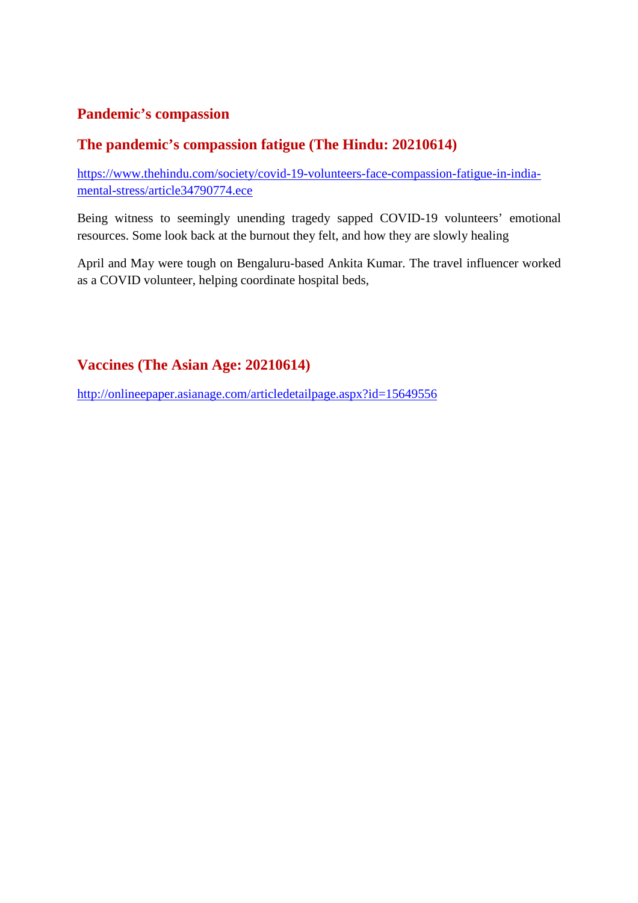#### **Pandemic's compassion**

#### **The pandemic's compassion fatigue (The Hindu: 20210614)**

https://www.thehindu.com/society/covid-19-volunteers-face-compassion-fatigue-in-indiamental-stress/article34790774.ece

Being witness to seemingly unending tragedy sapped COVID-19 volunteers' emotional resources. Some look back at the burnout they felt, and how they are slowly healing

April and May were tough on Bengaluru-based Ankita Kumar. The travel influencer worked as a COVID volunteer, helping coordinate hospital beds,

#### **Vaccines (The Asian Age: 20210614)**

http://onlineepaper.asianage.com/articledetailpage.aspx?id=15649556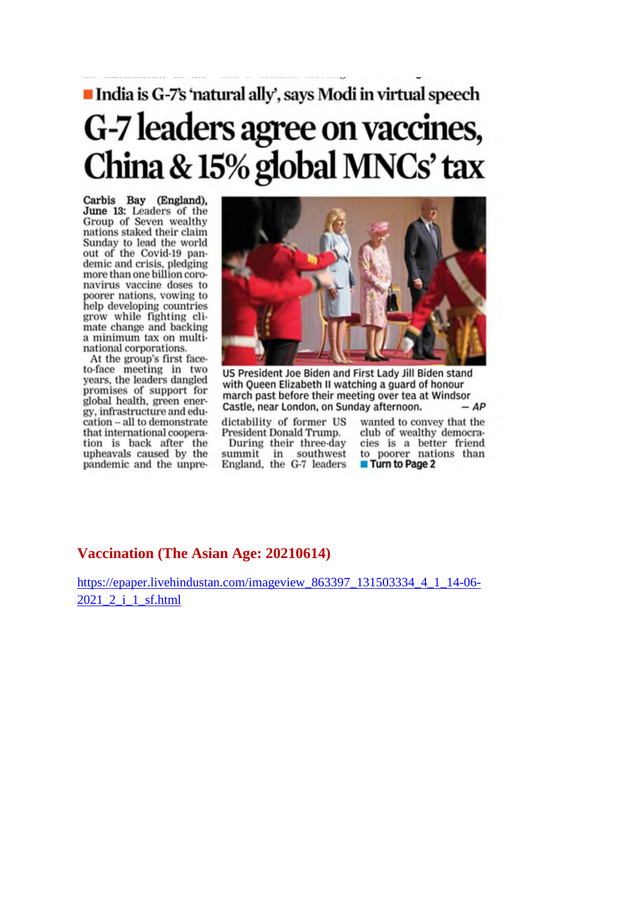## India is G-7's 'natural ally', says Modi in virtual speech G-7 leaders agree on vaccines, China & 15% global MNCs' tax

Carbis Bay (England),<br>June 13: Leaders of the<br>Group of Seven wealthy nations staked their claim Sunday to lead the world out of the Covid-19 pandemic and crisis, pledging<br>more than one billion coronavirus vaccine doses to poorer nations, vowing to help developing countries grow while fighting climate change and backing a minimum tax on multinational corporations.

At the group's first faceto-face meeting in two years, the leaders dangled promises of support for global health, green energy, infrastructure and education -- all to demonstrate that international cooperation is back after the upheavals caused by the pandemic and the unpre-



US President Joe Biden and First Lady Jill Biden stand with Queen Elizabeth II watching a guard of honour march past before their meeting over tea at Windsor Castle, near London, on Sunday afternoon.  $-AP$ 

dictability of former US President Donald Trump. During their three-day summit in southwest

England, the G-7 leaders

wanted to convey that the club of wealthy democracies is a better friend to poorer nations than **Turn to Page 2** 

#### **Vaccination (The Asian Age: 20210614)**

https://epaper.livehindustan.com/imageview\_863397\_131503334\_4\_1\_14-06-2021\_2\_i\_1\_sf.html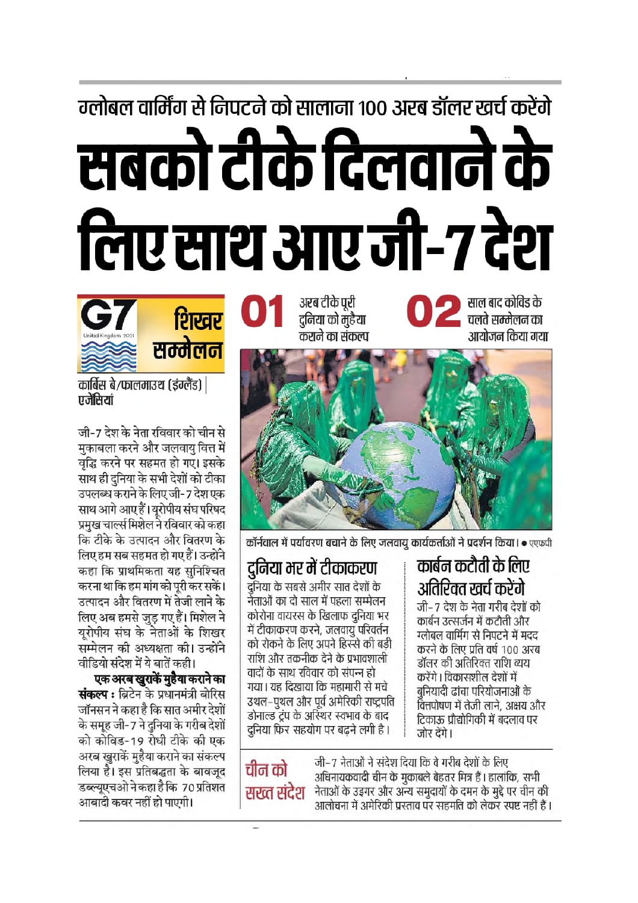# ग्लोबल वार्मिंग से निपटने को सालाना १०० अरब डॉलर खर्च करेंगे सबको टीके दिलवाने के लिए साथ आए जी-7 देश



शिखर सम्मेलन

कार्बिस बे/फालमाउथ (इंग्लैंड) | एजेंसियां

जी-7 देश के नेता रविवार को चीन से मकाबला करने और जलवाय वित्त में वृद्धि करने पर सहमत हो गए। इसके साथ ही दुनिया के सभी देशों को टीका उपलब्ध कराने के लिए जी-7 देश एक साथ आगे आए हैं। यूरोपीय संघ परिषद प्रमुख चार्ल्स मिशेल ने रविवार को कहा कि टीके के उत्पादन और वितरण के लिए हम सब सहमत हो गए हैं। उन्होंने कहा कि प्राथमिकता यह सनिश्चित करना था कि हम मांग को परी कर सकें। उत्पादन और वितरण में तेजी लाने के लिए अब हमसे जुड़ गए हैं। मिशेल ने यरोपीय संघ के नेताओं के शिखर सम्मेलन की अध्यक्षता की। उन्होंने वीडियो संदेश में ये बातें कही।

एक अरब खुराकें मुहैया कराने का **संकल्प :** ब्रिटेन के प्रधानमंत्री बोरिस जॉनसन ने कहा है कि सात अमीर देशों के समूह जी-7 ने दुनिया के गरीब देशों को कोविड-19 रोधी टीके की एक अरब खुराकें मुहैया कराने का संकल्प लिया है। इस प्रतिबद्धता के बावजूद डब्ल्युएचओ ने कहा है कि 70 प्रतिशत आबादी कवर नहीं हो पाएगी।

अरब टीके पुरी दुनिया को मुहैया कराने का संकल्प थाएँ ज्ञान करता का सुरु से ज्ञान कर जिल्ला का स्थान कर जिल्ला कर स्थान कर स्थान कर रही है। अन्य कर स्थान कर स्<br>स्थान कर जिल्ला कर स्थान कर रही है। अन्य कर स्थान कर स्थान कर स्थान कर स्थान कर स्थान कर रही है। अन्य कर स्था साल बाद कोविड के आयोजन किया गया



कॉर्नवाल में पर्यावरण बचाने के लिए जलवायु कार्यकर्ताओं ने प्रदर्शन किया। • एएफपी

#### कार्बन कटौती के लिए द्रनिया भर में टीकाकरण

दनिया के सबसे अमीर सात देशों के नेताओं का दो साल में पहला सम्मेलन कोरोना वायरस के खिलाफ दुनिया भर में टीकाकरण करने, जलवायुँ परिवर्तन को रोकने के लिए अपने हिस्से की बड़ी राशि और तकनीक देने के प्रभावशाली वादों के साथ रविवार को संपन्न हो गया। यह दिखाया कि महामारी से मचे उथल–पूथल और पूर्व अमेरिकी राष्ट्रपति डोनाल्ड ट्रंप के अस्थिर स्वभाव के बाद दनिया फिर सहयोग पर बढने लगी है।

चीन को सख्त संदेश अतिरिक्त खर्च करेंगे जी– 7 देश के नेता गरीब देशों को कार्बन उत्सर्जन में कटौती और

ग्लोबल वार्मिंग से निपटने में मदद करने के लिए प्रति वर्ष 100 अरब डॉलर की अतिरिक्त राशि व्यय करेंगे । विकासशील देशों में बुनियादी ढांचा परियोजनाओं के .<br>वित्तपोषण में तेजी लाने, अक्षय और टिकाऊ प्रौद्योगिकी में बदलाव पर जोर देंगे।

जी–7 नेताओं ने संदेश दिया कि वे गरीब देशों के लिए अधिनायकवादी चीन के मुकाबले बेहतर मित्र हैं। हालांकि, सभी नेताओं के उड़गर और अन्य समुदायों के दमन के मुद्दे पर चीन की आलोचना में अमेरिकी प्रस्ताव पर सहमति को लेकर स्पष्ट नहीं हैं ।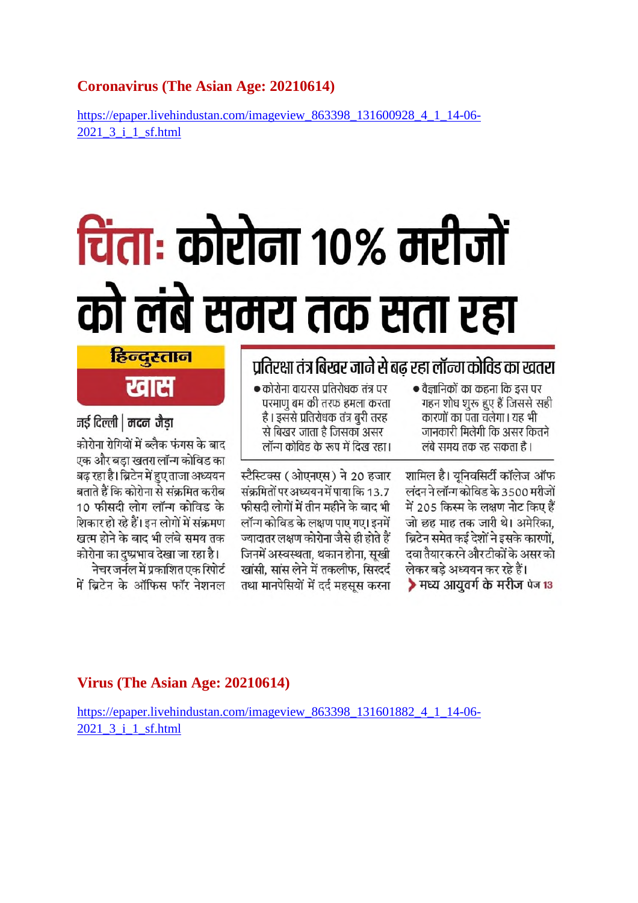#### **Coronavirus (The Asian Age: 20210614)**

https://epaper.livehindustan.com/imageview\_863398\_131600928\_4\_1\_14-06- 2021\_3\_i\_1\_sf.html

# चिंताः कोरोना १०% मरीजों को लंबे समय तक सता रहा

### प्रतिरक्षा तंत्र बिखर जाने से बढ रहा लॉन्ग कोविड का खतरा

| • कोरोना वायरस प्रतिरोधक तंत्र पर | • वैज्ञानिकों का कहना कि इस पर |
|-----------------------------------|--------------------------------|
| परमाणु बम की तरफ हमला करता        | गहन शोध शुरू हुए हैं जिससे सही |
| है। इससे प्रतिरोधक तंत्र बुरी तरह | कारणों का पता चलेगा। यह भी     |
| से बिखर जाता है जिसका असर         | जानकारी मिलेगी कि असर कितने    |
| लॉन्ग कोविड के रूप में दिख रहा।   | लंबे समय तक रह सकता है।        |
| स्टैस्टिक्स (ओएनएस) ने 20 हजार    | शामिल है। यूनिवसिर्टी कॉलेज ऑफ |

लंदन ने लॉन्ग कोविड के 3500 मरीजों में 205 किस्म के लक्षण नोट किए हैं जो छह माह तक जारी थे। अमेरिका. ब्रिटेन समेत कई देशों ने इसके कारणों. दवा तैयारकरने औरटीकों के असरको लेकर बडे अध्ययन कर रहे हैं। ▶ मध्य आयवर्ग के मरीज पेज 13

संक्रमितों पर अध्ययन में पाया कि 13.7 फीसदी लोगों में तीन महीने के बाद भी

लॉन्ग कोविड के लक्षण पाए गए। इनमें

ज्यादातर लक्षण कोरोना जैसे ही होते हैं

जिनमें अस्वस्थता, थकान होना, सखी

खांसी. सांस लेने में तकलीफ. सिखर्द

तथा मानपेसियों में दर्द महसस करना

हिन्दस्तान

खास

#### नई दिल्ली | मदन जैडा

कोरोना रोगियों में ब्लैक फंगस के बाद एक और बडा खतरा लॉन्ग कोविड का बढ़ रहा है। ब्रिटेन में हुए ताजा अध्ययन<br>बताते हैं कि कोरोना से संक्रमित करीब 10 फीसदी लोग लॉन्ग कोविड के शिकार हो रहे हैं। इन लोगों में संक्रमण खत्म होने के बाद भी लंबे समय तक कोरोना का दुष्प्रभाव देखा जा रहा है।

नेचर जर्नल में प्रकाशित एक रिपोर्ट में बिटेन के ऑफिस फॉर नेशनल

#### **Virus (The Asian Age: 20210614)**

https://epaper.livehindustan.com/imageview\_863398\_131601882\_4\_1\_14-06-2021\_3\_i\_1\_sf.html